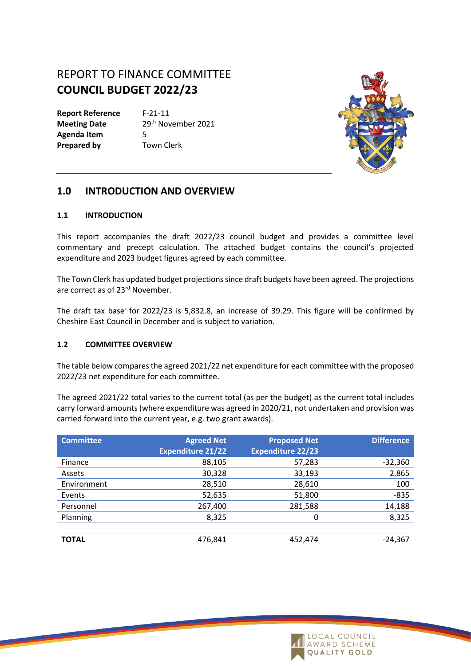# REPORT TO FINANCE COMMITTEE **COUNCIL BUDGET 2022/23**

**Report Reference** F-21-11 **Meeting Date** 29<sup>th</sup> November 2021 **Agenda Item** 5 **Prepared by Town Clerk** 



# **1.0 INTRODUCTION AND OVERVIEW**

#### **1.1 INTRODUCTION**

This report accompanies the draft 2022/23 council budget and provides a committee level commentary and precept calculation. The attached budget contains the council's projected expenditure and 2023 budget figures agreed by each committee.

The Town Clerk has updated budget projections since draft budgets have been agreed. The projections are correct as of 23<sup>rd</sup> November.

The draft tax base<sup>i</sup> for 2022/23 is 5,832.8, an increase of 39.29. This figure will be confirmed by Cheshire East Council in December and is subject to variation.

### **1.2 COMMITTEE OVERVIEW**

The table below comparesthe agreed 2021/22 net expenditure for each committee with the proposed 2022/23 net expenditure for each committee.

The agreed 2021/22 total varies to the current total (as per the budget) as the current total includes carry forward amounts (where expenditure was agreed in 2020/21, not undertaken and provision was carried forward into the current year, e.g. two grant awards).

| <b>Committee</b> | <b>Agreed Net</b><br><b>Expenditure 21/22</b> | <b>Proposed Net</b><br><b>Expenditure 22/23</b> | <b>Difference</b> |
|------------------|-----------------------------------------------|-------------------------------------------------|-------------------|
| Finance          | 88,105                                        | 57,283                                          | $-32,360$         |
| Assets           | 30,328                                        | 33,193                                          | 2,865             |
| Environment      | 28,510                                        | 28,610                                          | 100               |
| Events           | 52,635                                        | 51,800                                          | $-835$            |
| Personnel        | 267,400                                       | 281,588                                         | 14,188            |
| Planning         | 8,325                                         | 0                                               | 8,325             |
|                  |                                               |                                                 |                   |
| <b>TOTAL</b>     | 476,841                                       | 452,474                                         | $-24,367$         |

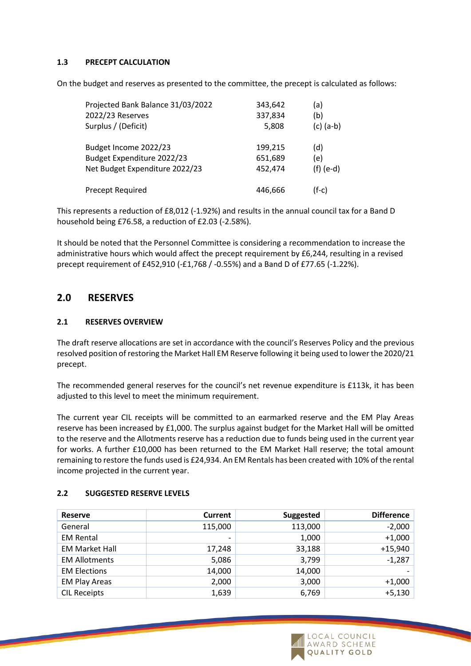#### **1.3 PRECEPT CALCULATION**

On the budget and reserves as presented to the committee, the precept is calculated as follows:

| Projected Bank Balance 31/03/2022 | 343,642 | (a)         |
|-----------------------------------|---------|-------------|
| 2022/23 Reserves                  | 337,834 | (b)         |
| Surplus / (Deficit)               | 5,808   | $(c)$ (a-b) |
| Budget Income 2022/23             | 199,215 | (d)         |
| Budget Expenditure 2022/23        | 651,689 | (e)         |
| Net Budget Expenditure 2022/23    | 452,474 | $(f)$ (e-d) |
| Precept Required                  | 446,666 | $(f-c)$     |

This represents a reduction of £8,012 (-1.92%) and results in the annual council tax for a Band D household being £76.58, a reduction of £2.03 (-2.58%).

It should be noted that the Personnel Committee is considering a recommendation to increase the administrative hours which would affect the precept requirement by £6,244, resulting in a revised precept requirement of £452,910 (-£1,768 / -0.55%) and a Band D of £77.65 (-1.22%).

# **2.0 RESERVES**

#### **2.1 RESERVES OVERVIEW**

The draft reserve allocations are set in accordance with the council's Reserves Policy and the previous resolved position of restoring the Market Hall EM Reserve following it being used to lower the 2020/21 precept.

The recommended general reserves for the council's net revenue expenditure is £113k, it has been adjusted to this level to meet the minimum requirement.

The current year CIL receipts will be committed to an earmarked reserve and the EM Play Areas reserve has been increased by £1,000. The surplus against budget for the Market Hall will be omitted to the reserve and the Allotments reserve has a reduction due to funds being used in the current year for works. A further £10,000 has been returned to the EM Market Hall reserve; the total amount remaining to restore the funds used is £24,934. An EM Rentals has been created with 10% of the rental income projected in the current year.

| <b>Reserve</b>        | Current                  | Suggested | <b>Difference</b> |
|-----------------------|--------------------------|-----------|-------------------|
| General               | 115,000                  | 113,000   | $-2,000$          |
| <b>EM Rental</b>      | $\overline{\phantom{0}}$ | 1,000     | $+1,000$          |
| <b>EM Market Hall</b> | 17,248                   | 33,188    | $+15,940$         |
| <b>EM Allotments</b>  | 5,086                    | 3,799     | $-1,287$          |
| <b>EM Elections</b>   | 14,000                   | 14,000    |                   |
| <b>EM Play Areas</b>  | 2,000                    | 3,000     | $+1,000$          |
| <b>CIL Receipts</b>   | 1,639                    | 6,769     | $+5,130$          |

### **2.2 SUGGESTED RESERVE LEVELS**

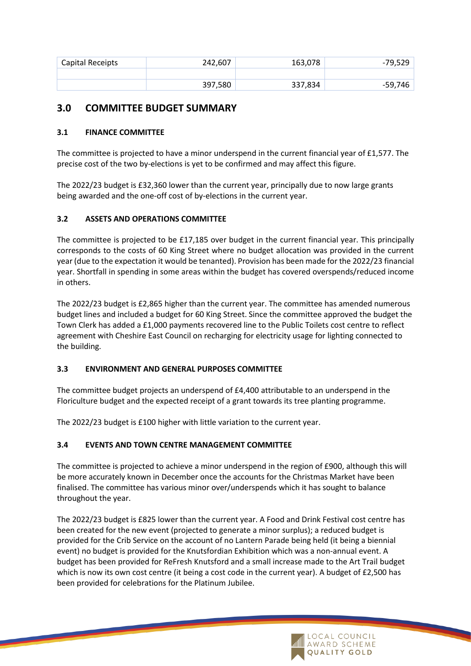| Capital Receipts | 242,607 | 163,078 | -79,529 |
|------------------|---------|---------|---------|
|                  |         |         |         |
|                  | 397,580 | 337,834 | -59,746 |

# **3.0 COMMITTEE BUDGET SUMMARY**

# **3.1 FINANCE COMMITTEE**

The committee is projected to have a minor underspend in the current financial year of £1,577. The precise cost of the two by-elections is yet to be confirmed and may affect this figure.

The 2022/23 budget is £32,360 lower than the current year, principally due to now large grants being awarded and the one-off cost of by-elections in the current year.

## **3.2 ASSETS AND OPERATIONS COMMITTEE**

The committee is projected to be £17,185 over budget in the current financial year. This principally corresponds to the costs of 60 King Street where no budget allocation was provided in the current year (due to the expectation it would be tenanted). Provision has been made for the 2022/23 financial year. Shortfall in spending in some areas within the budget has covered overspends/reduced income in others.

The 2022/23 budget is £2,865 higher than the current year. The committee has amended numerous budget lines and included a budget for 60 King Street. Since the committee approved the budget the Town Clerk has added a £1,000 payments recovered line to the Public Toilets cost centre to reflect agreement with Cheshire East Council on recharging for electricity usage for lighting connected to the building.

### **3.3 ENVIRONMENT AND GENERAL PURPOSES COMMITTEE**

The committee budget projects an underspend of £4,400 attributable to an underspend in the Floriculture budget and the expected receipt of a grant towards its tree planting programme.

The 2022/23 budget is £100 higher with little variation to the current year.

### **3.4 EVENTS AND TOWN CENTRE MANAGEMENT COMMITTEE**

The committee is projected to achieve a minor underspend in the region of £900, although this will be more accurately known in December once the accounts for the Christmas Market have been finalised. The committee has various minor over/underspends which it has sought to balance throughout the year.

The 2022/23 budget is £825 lower than the current year. A Food and Drink Festival cost centre has been created for the new event (projected to generate a minor surplus); a reduced budget is provided for the Crib Service on the account of no Lantern Parade being held (it being a biennial event) no budget is provided for the Knutsfordian Exhibition which was a non-annual event. A budget has been provided for ReFresh Knutsford and a small increase made to the Art Trail budget which is now its own cost centre (it being a cost code in the current year). A budget of £2,500 has been provided for celebrations for the Platinum Jubilee.